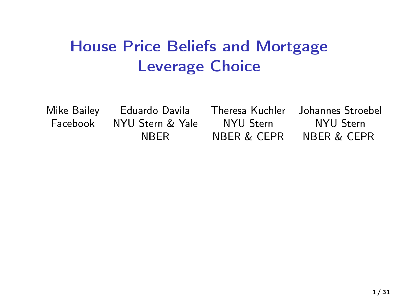# <span id="page-0-0"></span>House Price Beliefs and Mortgage Leverage Choice

Mike Bailey Eduardo Davila Theresa Kuchler Johannes Stroebel Facebook NYU Stern & Yale NYU Stern NYU Stern NBER NBER & CEPR NBER & CEPR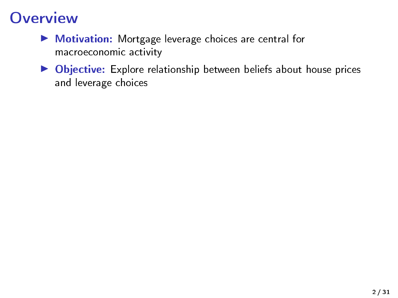### **Overview**

- $\blacktriangleright$  Motivation: Mortgage leverage choices are central for macroeconomic activity
- ▶ Objective: Explore relationship between beliefs about house prices and leverage choices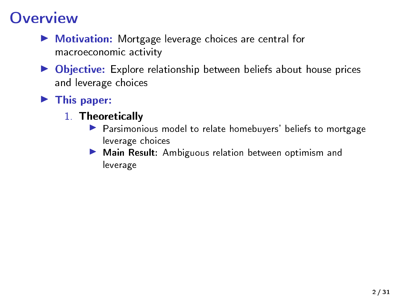# **Overview**

- $\blacktriangleright$  Motivation: Mortgage leverage choices are central for macroeconomic activity
- $\triangleright$  Objective: Explore relationship between beliefs about house prices and leverage choices

### $\blacktriangleright$  This paper:

- 1. Theoretically
	- **Parsimonious model to relate homebuyers' beliefs to mortgage** leverage choices
	- Main Result: Ambiguous relation between optimism and leverage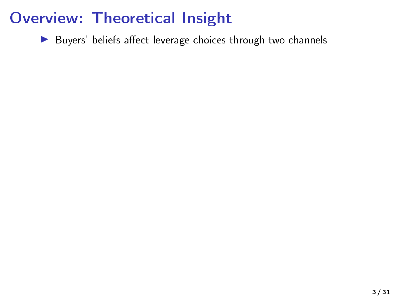$\blacktriangleright$  Buyers' beliefs affect leverage choices through two channels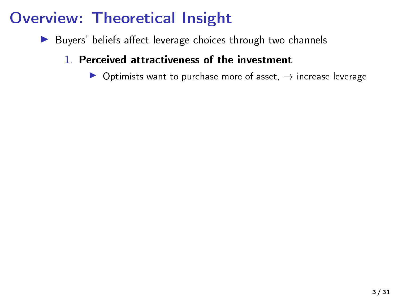- $\blacktriangleright$  Buyers' beliefs affect leverage choices through two channels
	- 1. Perceived attractiveness of the investment

▶ Optimists want to purchase more of asset,  $→$  increase leverage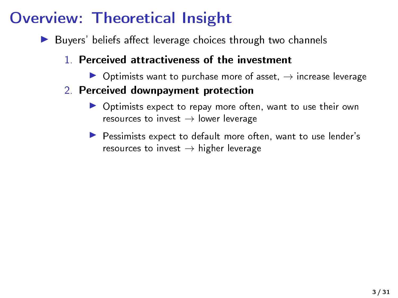- $\blacktriangleright$  Buyers' beliefs affect leverage choices through two channels
	- 1. Perceived attractiveness of the investment
		- $\triangleright$  Optimists want to purchase more of asset,  $\rightarrow$  increase leverage
	- 2. Perceived downpayment protection
		- ▶ Optimists expect to repay more often, want to use their own resources to invest  $\rightarrow$  lower leverage
		- **Pessimists expect to default more often, want to use lender's** resources to invest  $\rightarrow$  higher leverage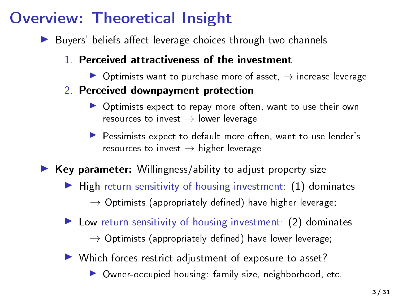$\blacktriangleright$  Buyers' beliefs affect leverage choices through two channels

#### 1. Perceived attractiveness of the investment

- $\triangleright$  Optimists want to purchase more of asset,  $\rightarrow$  increase leverage
- 2. Perceived downpayment protection
	- ▶ Optimists expect to repay more often, want to use their own resources to invest  $\rightarrow$  lower leverage
	- **Pessimists expect to default more often, want to use lender's** resources to invest  $\rightarrow$  higher leverage
- $\blacktriangleright$  Key parameter: Willingness/ability to adjust property size
	- $\blacktriangleright$  High return sensitivity of housing investment: (1) dominates
		- $\rightarrow$  Optimists (appropriately defined) have higher leverage;
	- $\blacktriangleright$  Low return sensitivity of housing investment: (2) dominates
		- $\rightarrow$  Optimists (appropriately defined) have lower leverage;
	- $\blacktriangleright$  Which forces restrict adjustment of exposure to asset?
		- ▶ Owner-occupied housing: family size, neighborhood, etc.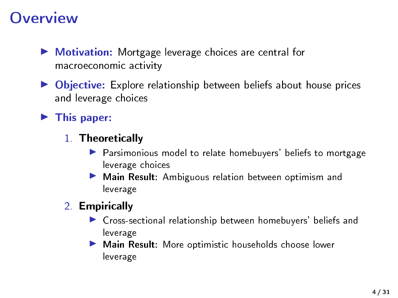### **Overview**

- ▶ Motivation: Mortgage leverage choices are central for macroeconomic activity
- ▶ Objective: Explore relationship between beliefs about house prices and leverage choices

### $\blacktriangleright$  This paper:

- 1. Theoretically
	- **Parsimonious model to relate homebuyers' beliefs to mortgage** leverage choices
	- I Main Result: Ambiguous relation between optimism and leverage
- 2. Empirically
	- ▶ Cross-sectional relationship between homebuyers' beliefs and leverage
	- I Main Result: More optimistic households choose lower leverage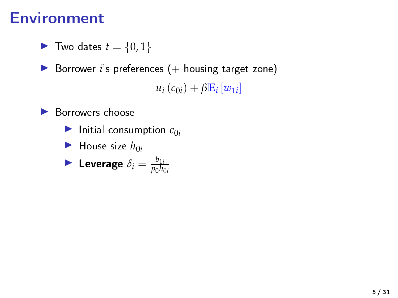### Environment

$$
\blacktriangleright \text{ Two dates } t = \{0, 1\}
$$

▶ Borrower *i*'s preferences (+ housing target zone)

 $u_i(c_{0i}) + \beta \mathbb{E}_i[w_{1i}]$ 

▶ Borrowers choose

 $\blacktriangleright$  Initial consumption  $c_{0i}$ 

$$
\blacktriangleright
$$
 House size  $h_{0i}$ 

$$
\blacktriangleright \text{ Leverage } \delta_i = \frac{b_{1i}}{p_0 h_{0i}}
$$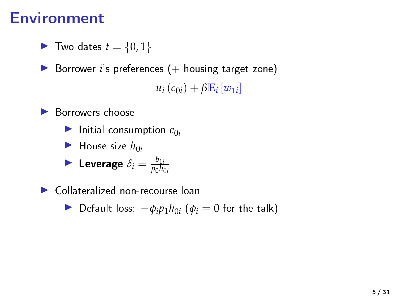### Environment

$$
\blacktriangleright \text{ Two dates } t = \{0, 1\}
$$

▶ Borrower *i*'s preferences (+ housing target zone)

 $u_i(c_{0i}) + \beta \mathbb{E}_i[w_{1i}]$ 

 $\blacktriangleright$  Borrowers choose

 $\blacktriangleright$  Initial consumption  $c_{0i}$ 

$$
\blacktriangleright
$$
 House size  $h_{0i}$ 

$$
\blacktriangleright \text{ Leverage } \delta_i = \frac{b_{1i}}{p_0 h_{0i}}
$$

 $\blacktriangleright$  Collateralized non-recourse loan

 $\triangleright$  Default loss:  $-\phi_i p_1 h_{0i}$  ( $\phi_i = 0$  for the talk)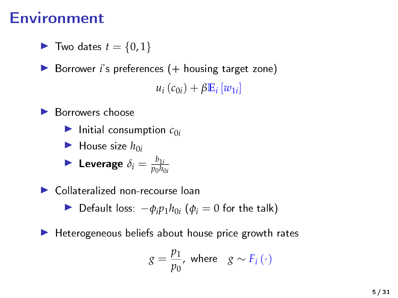### Environment

$$
\blacktriangleright \text{ Two dates } t = \{0, 1\}
$$

▶ Borrower *i*'s preferences (+ housing target zone)

 $u_i(c_{0i}) + \beta \mathbb{E}_i[w_{1i}]$ 

 $\blacktriangleright$  Borrowers choose

 $\blacktriangleright$  Initial consumption  $c_{0i}$ 

$$
\blacktriangleright
$$
 House size  $h_{0i}$ 

$$
\blacktriangleright \text{ Leverage } \delta_i = \frac{b_{1i}}{p_0 h_{0i}}
$$

▶ Collateralized non-recourse loan

 $\triangleright$  Default loss:  $-\phi_i p_1 h_{0i}$  ( $\phi_i = 0$  for the talk)

 $\blacktriangleright$  Heterogeneous beliefs about house price growth rates

$$
g = \frac{p_1}{p_0}, \text{ where } g \sim F_i(\cdot)
$$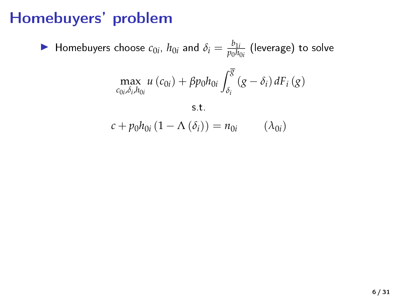### Homebuyers' problem

 $\blacktriangleright$  Homebuyers choose  $c_{0i}$ ,  $h_{0i}$  and  $\delta_i = \frac{b_{1i}}{p_0h_i}$  $\frac{\nu_{1i}}{p_0h_{0i}}$  (leverage) to solve

$$
\max_{c_{0i},\delta_i,h_{0i}} u\left(c_{0i}\right) + \beta p_0 h_{0i} \int_{\delta_i}^{\overline{g}} \left(g - \delta_i\right) dF_i\left(g\right)
$$

s.t.

 $c + p_0 h_{0i} (1 - \Lambda (\delta_i)) = n_{0i}$  ( $\lambda_{0i}$ )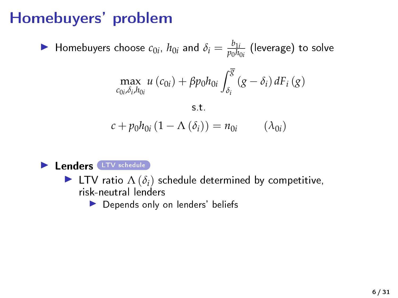# Homebuyers' problem

$$
\blacktriangleright
$$
 Homebuyers choose  $c_{0i}$ ,  $h_{0i}$  and  $\delta_i = \frac{b_{1i}}{p_0 h_{0i}}$  (leverage) to solve

$$
\max_{c_{0i},\delta_i,h_{0i}} u\left(c_{0i}\right) + \beta p_0 h_{0i} \int_{\delta_i}^{\overline{g}} \left(g - \delta_i\right) dF_i\left(g\right)
$$

$$
\mathbf{s}.\mathbf{t}.
$$
  

$$
c + p_0 h_{0i} (1 - \Lambda (\delta_i)) = n_{0i} \qquad (\lambda_{0i})
$$



- **IFTV** ratio  $\Lambda(\delta_i)$  schedule determined by competitive, risk-neutral lenders
	- $\blacktriangleright$  Depends only on lenders' beliefs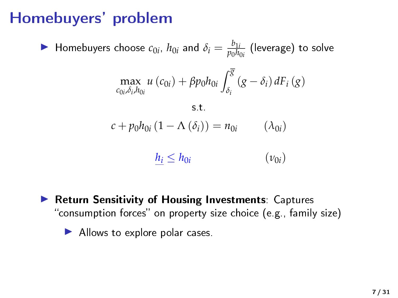# Homebuyers' problem

$$
\blacktriangleright
$$
 Homebuyers choose  $c_{0i}$ ,  $h_{0i}$  and  $\delta_i = \frac{b_{1i}}{p_0 h_{0i}}$  (leverage) to solve

$$
\max_{c_{0i},\delta_i,h_{0i}} u\left(c_{0i}\right) + \beta p_0 h_{0i} \int_{\delta_i}^{\overline{g}} \left(g - \delta_i\right) dF_i\left(g\right)
$$

$$
\mathbf{s}.\mathbf{t}.\n\mathbf{c} + p_0 h_{0i} (1 - \Lambda (\delta_i)) = n_{0i} \qquad (\lambda_{0i})
$$

$$
\underline{h_i} \le h_{0i} \qquad (\nu_{0i})
$$

▶ Return Sensitivity of Housing Investments: Captures "consumption forces" on property size choice (e.g., family size)

I Allows to explore polar cases.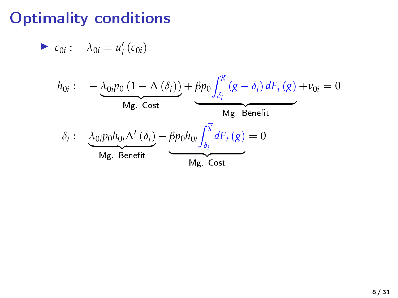### Optimality conditions

$$
\blacktriangleright c_{0i}: \quad \lambda_{0i}=u'_i\left(c_{0i}\right)
$$

$$
h_{0i}: \quad -\underbrace{\lambda_{0i}p_{0}\left(1-\Lambda\left(\delta_{i}\right)\right)}_{\text{Mg. Cost}} + \underbrace{\beta p_{0}\int_{\delta_{i}}^{\overline{S}}\left(g-\delta_{i}\right)dF_{i}\left(g\right)}_{\text{Mg. Benefit}} + \nu_{0i} = 0
$$
\n
$$
\delta_{i}: \quad \underbrace{\lambda_{0i}p_{0}h_{0i}\Lambda'\left(\delta_{i}\right)}_{\text{Mg. Benefit}} - \underbrace{\beta p_{0}h_{0i}\int_{\delta_{i}}^{\overline{S}}dF_{i}\left(g\right)}_{\text{Mg. Cost}} = 0
$$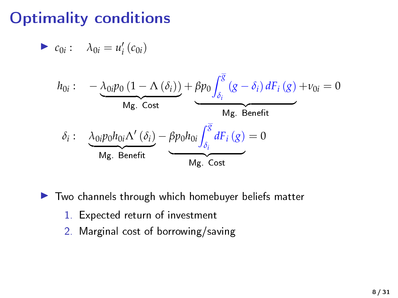# Optimality conditions

$$
\blacktriangleright c_{0i}: \quad \lambda_{0i}=u'_i\left(c_{0i}\right)
$$

$$
h_{0i}: \quad -\underbrace{\lambda_{0i}p_{0}\left(1-\Lambda\left(\delta_{i}\right)\right)}_{\text{Mg. Cost}} + \underbrace{\beta p_{0}\int_{\delta_{i}}^{\overline{S}}\left(g-\delta_{i}\right)dF_{i}\left(g\right)}_{\text{Mg. Benefit}} + \nu_{0i} = 0
$$
\n
$$
\delta_{i}: \quad \underbrace{\lambda_{0i}p_{0}h_{0i}\Lambda'\left(\delta_{i}\right)}_{\text{Mg. Benefit}} - \underbrace{\beta p_{0}h_{0i}\int_{\delta_{i}}^{\overline{S}}dF_{i}\left(g\right)}_{\text{Mg. Cost}} = 0
$$

 $\blacktriangleright$  Two channels through which homebuyer beliefs matter

- 1. Expected return of investment
- 2. Marginal cost of borrowing/saving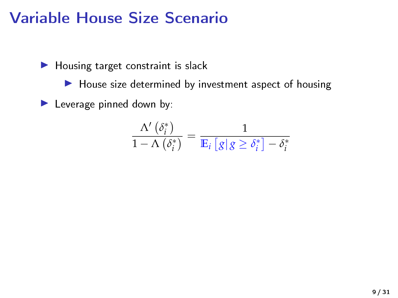### Variable House Size Scenario

 $\blacktriangleright$  Housing target constraint is slack

 $\blacktriangleright$  House size determined by investment aspect of housing

 $\blacktriangleright$  Leverage pinned down by:

$$
\frac{\Lambda'\left(\delta_{i}^{*}\right)}{1-\Lambda\left(\delta_{i}^{*}\right)}=\frac{1}{\mathbb{E}_{i}\left[\left. g \right| g\geq \delta_{i}^{*}\right]-\delta_{i}^{*}}
$$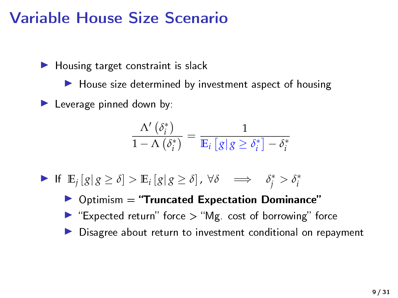### Variable House Size Scenario

 $\blacktriangleright$  Housing target constraint is slack

 $\blacktriangleright$  House size determined by investment aspect of housing

 $\blacktriangleright$  Leverage pinned down by:

$$
\frac{\Lambda'\left(\delta_{i}^{*}\right)}{1-\Lambda\left(\delta_{i}^{*}\right)}=\frac{1}{\mathbb{E}_{i}\left[\left. g\right|g\geq\delta_{i}^{*}\right]-\delta_{i}^{*}}
$$

**►** If  $\mathbb{E}_j[g|g \ge \delta] > \mathbb{E}_i[g|g \ge \delta]$ ,  $\forall \delta \implies \delta_j^* > \delta_i^*$ 

 $\triangleright$  Optimism = "Truncated Expectation Dominance" Expected return" force  $>$  "Mg. cost of borrowing" force Disagree about return to investment conditional on repayment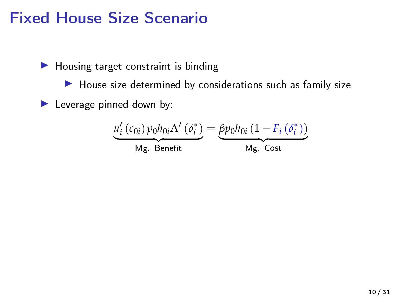### Fixed House Size Scenario

 $\blacktriangleright$  Housing target constraint is binding

 $\blacktriangleright$  House size determined by considerations such as family size

 $\blacktriangleright$  Leverage pinned down by:

$$
\underbrace{u'_{i}\left(c_{0i}\right)p_{0}h_{0i}\Lambda'\left(\delta_{i}^{*}\right)}_{\text{Mg. Benefit}}=\underbrace{\beta p_{0}h_{0i}\left(1-F_{i}\left(\delta_{i}^{*}\right)\right)}_{\text{Mg. Cost}}
$$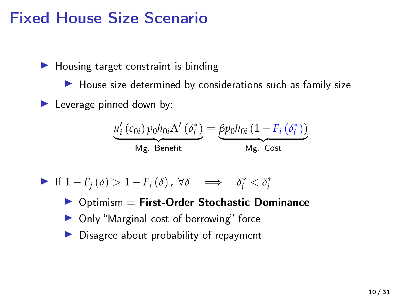### Fixed House Size Scenario

 $\blacktriangleright$  Housing target constraint is binding

 $\blacktriangleright$  House size determined by considerations such as family size

 $\blacktriangleright$  Leverage pinned down by:

$$
\underbrace{u'_{i}\left(c_{0i}\right)p_{0}h_{0i}\Lambda'\left(\delta_{i}^{*}\right)}_{\text{Mg. Benefit}}=\underbrace{\beta p_{0}h_{0i}\left(1-F_{i}\left(\delta_{i}^{*}\right)\right)}_{\text{Mg. Cost}}
$$

• If 
$$
1 - F_j(\delta) > 1 - F_i(\delta)
$$
,  $\forall \delta \implies \delta_j^* < \delta_i^*$ 

 $\triangleright$  Optimism = First-Order Stochastic Dominance

- $\triangleright$  Only "Marginal cost of borrowing" force
- Disagree about probability of repayment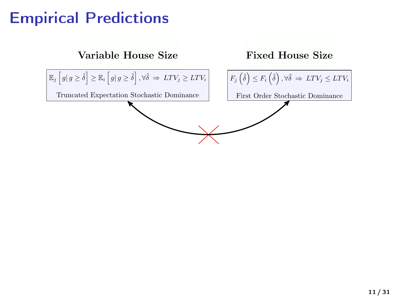# Empirical Predictions

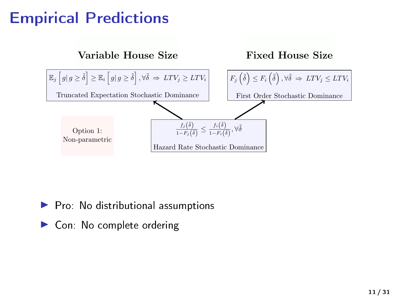# Empirical Predictions



 $\blacktriangleright$  Pro: No distributional assumptions

▶ Con: No complete ordering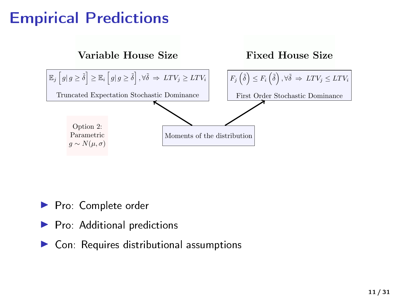# Empirical Predictions



▶ Pro: Complete order

- I Pro: Additional predictions
- $\blacktriangleright$  Con: Requires distributional assumptions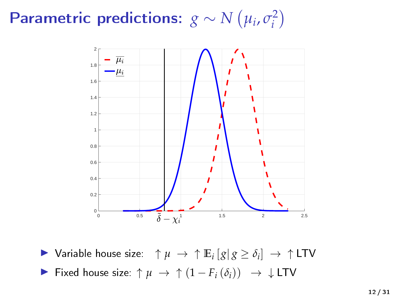#### Parametric predictions:  $g \sim N(\mu_i, \sigma_i^2)$ *i*



▶ Variable house size:  $\uparrow \mu \rightarrow \uparrow \mathbb{E}_i [g | g \ge \delta_i] \rightarrow \uparrow \text{LTV}$  $\triangleright$  Fixed house size: ↑  $\mu \rightarrow \uparrow (1 - F_i(\delta_i)) \rightarrow \bot$  LTV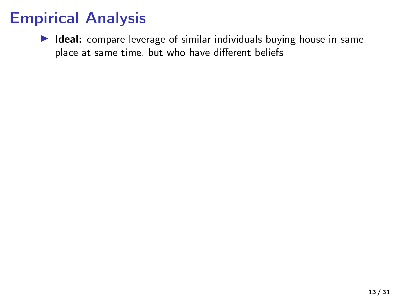$\blacktriangleright$  Ideal: compare leverage of similar individuals buying house in same place at same time, but who have different beliefs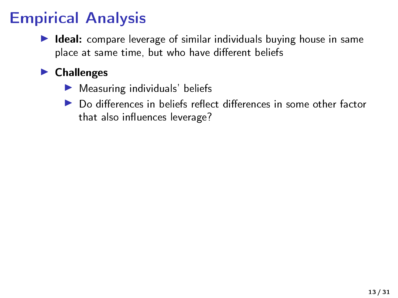$\blacktriangleright$  Ideal: compare leverage of similar individuals buying house in same place at same time, but who have different beliefs

### $\blacktriangleright$  Challenges

- $\blacktriangleright$  Measuring individuals' beliefs
- $\triangleright$  Do differences in beliefs reflect differences in some other factor that also influences leverage?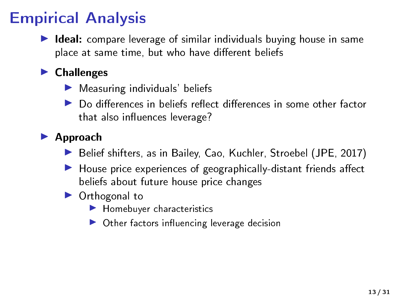$\blacktriangleright$  Ideal: compare leverage of similar individuals buying house in same place at same time, but who have different beliefs

### $\blacktriangleright$  Challenges

- $\blacktriangleright$  Measuring individuals' beliefs
- $\triangleright$  Do differences in beliefs reflect differences in some other factor that also influences leverage?

#### **Approach**

- Belief shifters, as in Bailey, Cao, Kuchler, Stroebel (JPE, 2017)
- $\blacktriangleright$  House price experiences of geographically-distant friends affect beliefs about future house price changes

### $\triangleright$  Orthogonal to

- $\blacktriangleright$  Homebuyer characteristics
- $\triangleright$  Other factors influencing leverage decision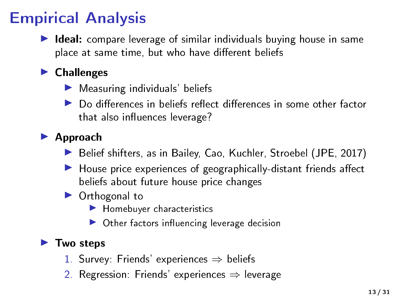$\blacktriangleright$  Ideal: compare leverage of similar individuals buying house in same place at same time, but who have different beliefs

### $\blacktriangleright$  Challenges

- $\blacktriangleright$  Measuring individuals' beliefs
- $\triangleright$  Do differences in beliefs reflect differences in some other factor that also influences leverage?

### **Approach**

- Belief shifters, as in Bailey, Cao, Kuchler, Stroebel (JPE, 2017)
- $\blacktriangleright$  House price experiences of geographically-distant friends affect beliefs about future house price changes

### $\triangleright$  Orthogonal to

- $\blacktriangleright$  Homebuyer characteristics
- $\triangleright$  Other factors influencing leverage decision

#### $\blacktriangleright$  Two steps

- 1. Survey: Friends' experiences  $\Rightarrow$  beliefs
- 2. Regression: Friends' experiences  $\Rightarrow$  leverage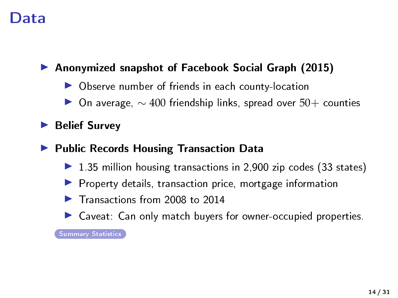### Data

### <span id="page-28-0"></span>▶ Anonymized snapshot of Facebook Social Graph (2015)

- $\triangleright$  Observe number of friends in each county-location
- $\triangleright$  On average,  $\sim$  400 friendship links, spread over 50+ counties

#### $\blacktriangleright$  Belief Survey

#### ▶ Public Records Housing Transaction Data

- $\triangleright$  1.35 million housing transactions in 2,900 zip codes (33 states)
- $\blacktriangleright$  Property details, transaction price, mortgage information
- $\blacktriangleright$  Transactions from 2008 to 2014
- $\triangleright$  Caveat: Can only match buyers for owner-occupied properties.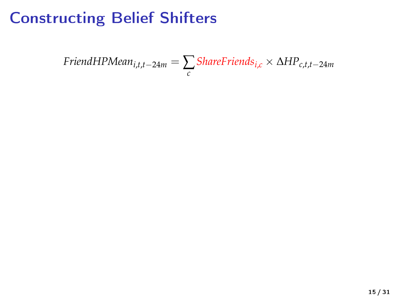$$
FinalHPMean_{i,t,t-24m} = \sum_{c}Sharefriends_{i,c} \times \Delta HP_{c,t,t-24m}
$$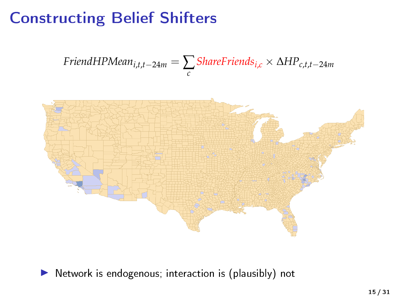$$
FinalHPMean_{i,t,t-24m} = \sum_{c}Sharefriends_{i,c} \times \Delta HP_{c,t,t-24m}
$$



 $\blacktriangleright$  Network is endogenous; interaction is (plausibly) not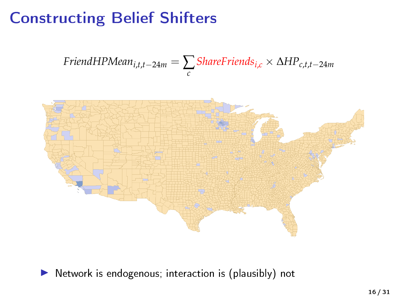$$
FinalHPMean_{i,t,t-24m} = \sum_{c}Sharefriends_{i,c} \times \Delta HP_{c,t,t-24m}
$$



 $\blacktriangleright$  Network is endogenous; interaction is (plausibly) not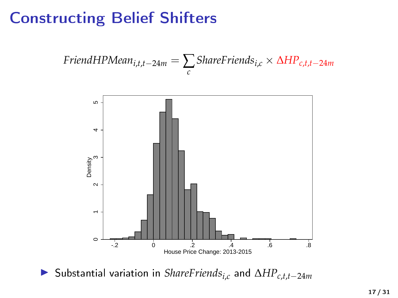$$
FriendHPMean_{i,t,t-24m} = \sum_{c}Sharefriends_{i,c} \times \Delta HP_{c,t,t-24m}
$$



<sup>I</sup> Substantial variation in *ShareFriendsi*,*<sup>c</sup>* and <sup>∆</sup>*HPc*,*t*,*t*−24*<sup>m</sup>*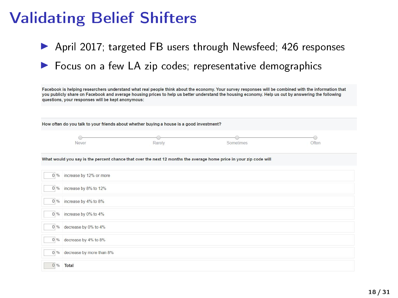### Validating Belief Shifters

|      |                                                                                          |        | April 2017; targeted FB users through Newsfeed; 426 responses                                                                                                                                                                                                                                               |       |
|------|------------------------------------------------------------------------------------------|--------|-------------------------------------------------------------------------------------------------------------------------------------------------------------------------------------------------------------------------------------------------------------------------------------------------------------|-------|
|      |                                                                                          |        |                                                                                                                                                                                                                                                                                                             |       |
|      |                                                                                          |        | Focus on a few LA zip codes, representative demographics                                                                                                                                                                                                                                                    |       |
|      |                                                                                          |        |                                                                                                                                                                                                                                                                                                             |       |
|      | questions, your responses will be kept anonymous:                                        |        | Facebook is helping researchers understand what real people think about the economy. Your survey responses will be combined with the information that<br>you publicly share on Facebook and average housing prices to help us better understand the housing economy. Help us out by answering the following |       |
|      |                                                                                          |        |                                                                                                                                                                                                                                                                                                             |       |
|      |                                                                                          |        |                                                                                                                                                                                                                                                                                                             |       |
|      | How often do you talk to your friends about whether buying a house is a good investment? |        |                                                                                                                                                                                                                                                                                                             |       |
|      | Never                                                                                    | Rarely | Sometimes                                                                                                                                                                                                                                                                                                   | Often |
|      |                                                                                          |        |                                                                                                                                                                                                                                                                                                             |       |
|      |                                                                                          |        | What would you say is the percent chance that over the next 12 months the average home price in your zip code will                                                                                                                                                                                          |       |
|      |                                                                                          |        |                                                                                                                                                                                                                                                                                                             |       |
|      | 0 % increase by 12% or more                                                              |        |                                                                                                                                                                                                                                                                                                             |       |
|      |                                                                                          |        |                                                                                                                                                                                                                                                                                                             |       |
|      | 0 % increase by 8% to 12%                                                                |        |                                                                                                                                                                                                                                                                                                             |       |
|      | 0 % increase by 4% to 8%                                                                 |        |                                                                                                                                                                                                                                                                                                             |       |
| 0.%  |                                                                                          |        |                                                                                                                                                                                                                                                                                                             |       |
|      | increase by 0% to 4%                                                                     |        |                                                                                                                                                                                                                                                                                                             |       |
| 0.96 | decrease by 0% to 4%                                                                     |        |                                                                                                                                                                                                                                                                                                             |       |
|      | 0 % decrease by 4% to 8%                                                                 |        |                                                                                                                                                                                                                                                                                                             |       |
| 0.96 | decrease by more than 8%                                                                 |        |                                                                                                                                                                                                                                                                                                             |       |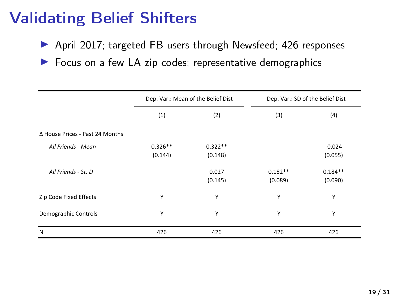### Validating Belief Shifters

- ▶ April 2017; targeted FB users through Newsfeed; 426 responses
- $\blacktriangleright$  Focus on a few LA zip codes; representative demographics

|                                 | Dep. Var.: Mean of the Belief Dist |           | Dep. Var.: SD of the Belief Dist |           |  |
|---------------------------------|------------------------------------|-----------|----------------------------------|-----------|--|
|                                 | (1)                                | (2)       | (3)                              | (4)       |  |
| Δ House Prices - Past 24 Months |                                    |           |                                  |           |  |
| All Friends - Mean              | $0.326**$                          | $0.322**$ |                                  | $-0.024$  |  |
|                                 | (0.144)                            | (0.148)   |                                  | (0.055)   |  |
| All Friends - St. D.            |                                    | 0.027     | $0.182**$                        | $0.184**$ |  |
|                                 |                                    | (0.145)   | (0.089)                          | (0.090)   |  |
| Zip Code Fixed Effects          | Υ                                  | Υ         | Υ                                | Υ         |  |
| Demographic Controls            | Υ                                  | Y         | Υ                                | Υ         |  |
| N                               | 426                                | 426       | 426                              | 426       |  |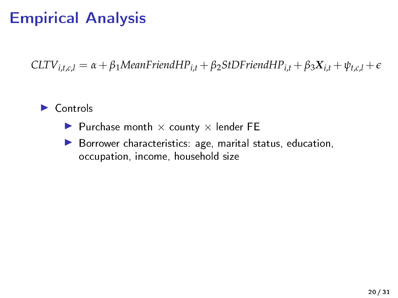$CLTV_{i.t.c.} = \alpha + \beta_1 Mean Frien dHP_{i.t} + \beta_2 StDFriend HP_{i.t} + \beta_3 X_{i.t} + \psi_{t.c.} + \epsilon$ 

#### $\triangleright$  Controls

- Purchase month  $\times$  county  $\times$  lender FE
- $\blacktriangleright$  Borrower characteristics: age, marital status, education, occupation, income, household size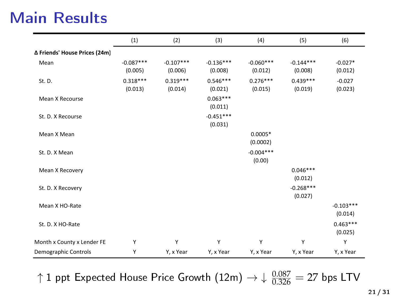|                               | (1)                    | (2)                    | (3)                    | (4)                    | (5)                    | (6)                    |
|-------------------------------|------------------------|------------------------|------------------------|------------------------|------------------------|------------------------|
| ∆ Friends' House Prices (24m) |                        |                        |                        |                        |                        |                        |
| Mean                          | $-0.087***$<br>(0.005) | $-0.107***$<br>(0.006) | $-0.136***$<br>(0.008) | $-0.060***$<br>(0.012) | $-0.144***$<br>(0.008) | $-0.027*$<br>(0.012)   |
| St. D.                        | $0.318***$<br>(0.013)  | $0.319***$<br>(0.014)  | $0.546***$<br>(0.021)  | $0.276***$<br>(0.015)  | $0.439***$<br>(0.019)  | $-0.027$<br>(0.023)    |
| Mean X Recourse               |                        |                        | $0.063***$<br>(0.011)  |                        |                        |                        |
| St. D. X Recourse             |                        |                        | $-0.451***$<br>(0.031) |                        |                        |                        |
| Mean X Mean                   |                        |                        |                        | $0.0005*$<br>(0.0002)  |                        |                        |
| St. D. X Mean                 |                        |                        |                        | $-0.004***$<br>(0.00)  |                        |                        |
| Mean X Recovery               |                        |                        |                        |                        | $0.046***$<br>(0.012)  |                        |
| St. D. X Recovery             |                        |                        |                        |                        | $-0.268***$<br>(0.027) |                        |
| Mean X HO-Rate                |                        |                        |                        |                        |                        | $-0.103***$<br>(0.014) |
| St. D. X HO-Rate              |                        |                        |                        |                        |                        | $0.463***$<br>(0.025)  |
| Month x County x Lender FE    | Y                      | Υ                      | Y                      | Υ                      | Y                      | Υ                      |
| Demographic Controls          | Υ                      | Y, x Year              | Y, x Year              | Y, x Year              | Y, x Year              | Y, x Year              |

 $R_{\rm A}$   $R_{\rm A}$   $R_{\rm A}$   $R_{\rm A}$   $R_{\rm A}$   $R_{\rm A}$   $R_{\rm A}$   $R_{\rm A}$   $R_{\rm A}$   $R_{\rm A}$   $R_{\rm A}$   $R_{\rm A}$   $R_{\rm A}$   $R_{\rm A}$   $R_{\rm A}$   $R_{\rm A}$   $R_{\rm A}$   $R_{\rm A}$   $R_{\rm A}$   $R_{\rm A}$   $R_{\rm A}$   $R_{\rm A}$   $R_{\rm A}$   $R_{\rm A}$   $R_{\rm$ ↑1 ppt Expected House Price Growth  $(12m)$   $\rightarrow \downarrow \frac{0.087}{0.326} = 27$  bps LTV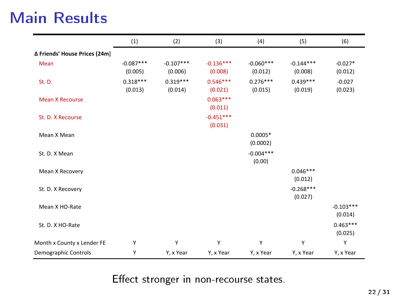|                               | (1)                    | (2)                    | (3)                    | (4)                    | (5)                    | (6)                    |
|-------------------------------|------------------------|------------------------|------------------------|------------------------|------------------------|------------------------|
| Δ Friends' House Prices (24m) |                        |                        |                        |                        |                        |                        |
| Mean                          | $-0.087***$<br>(0.005) | $-0.107***$<br>(0.006) | $-0.136***$<br>(0.008) | $-0.060***$<br>(0.012) | $-0.144***$<br>(0.008) | $-0.027*$<br>(0.012)   |
| St. D.                        | $0.318***$<br>(0.013)  | $0.319***$<br>(0.014)  | $0.546***$<br>(0.021)  | $0.276***$<br>(0.015)  | $0.439***$<br>(0.019)  | $-0.027$<br>(0.023)    |
| <b>Mean X Recourse</b>        |                        |                        | $0.063***$<br>(0.011)  |                        |                        |                        |
| St. D. X Recourse             |                        |                        | $-0.451***$<br>(0.031) |                        |                        |                        |
| Mean X Mean                   |                        |                        |                        | $0.0005*$<br>(0.0002)  |                        |                        |
| St. D. X Mean                 |                        |                        |                        | $-0.004***$<br>(0.00)  |                        |                        |
| Mean X Recovery               |                        |                        |                        |                        | $0.046***$<br>(0.012)  |                        |
| St. D. X Recovery             |                        |                        |                        |                        | $-0.268***$<br>(0.027) |                        |
| Mean X HO-Rate                |                        |                        |                        |                        |                        | $-0.103***$<br>(0.014) |
| St. D. X HO-Rate              |                        |                        |                        |                        |                        | $0.463***$<br>(0.025)  |
| Month x County x Lender FE    | Y                      | Υ                      | Y                      | Υ                      | Y                      | Y                      |
| Demographic Controls          | Υ                      | Y, x Year              | Y, x Year              | Y, x Year              | Y, x Year              | Y, x Year              |

 $R^2$  or  $R^2$  0.269 0.269 0.269 0.269 0.269 0.269 0.269 0.269 0.270 0.270 0.270 0.270 0.270 0.270 0.270 0.270 0.270 0.270 0.270 0.270 0.270 0.270 0.270 0.270 0.270 0.270 0.270 0.270 0.270 0.270 0.270 0.270 0.270 0.270 0. Effect stronger in non-recourse states.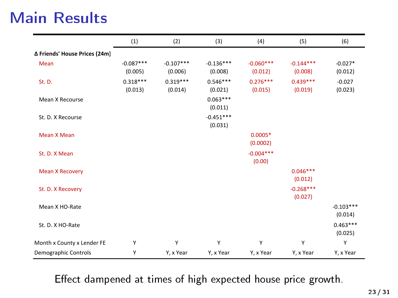|                               | (1)                    | (2)                    | (3)                    | (4)                    | (5)                    | (6)                    |
|-------------------------------|------------------------|------------------------|------------------------|------------------------|------------------------|------------------------|
| ∆ Friends' House Prices (24m) |                        |                        |                        |                        |                        |                        |
| Mean                          | $-0.087***$<br>(0.005) | $-0.107***$<br>(0.006) | $-0.136***$<br>(0.008) | $-0.060***$<br>(0.012) | $-0.144***$<br>(0.008) | $-0.027*$<br>(0.012)   |
| St. D.                        | $0.318***$<br>(0.013)  | $0.319***$<br>(0.014)  | $0.546***$<br>(0.021)  | $0.276***$<br>(0.015)  | $0.439***$<br>(0.019)  | $-0.027$<br>(0.023)    |
| Mean X Recourse               |                        |                        | $0.063***$<br>(0.011)  |                        |                        |                        |
| St. D. X Recourse             |                        |                        | $-0.451***$<br>(0.031) |                        |                        |                        |
| Mean X Mean                   |                        |                        |                        | $0.0005*$<br>(0.0002)  |                        |                        |
| St. D. X Mean                 |                        |                        |                        | $-0.004***$<br>(0.00)  |                        |                        |
| <b>Mean X Recovery</b>        |                        |                        |                        |                        | $0.046***$<br>(0.012)  |                        |
| St. D. X Recovery             |                        |                        |                        |                        | $-0.268***$<br>(0.027) |                        |
| Mean X HO-Rate                |                        |                        |                        |                        |                        | $-0.103***$<br>(0.014) |
| St. D. X HO-Rate              |                        |                        |                        |                        |                        | $0.463***$<br>(0.025)  |
| Month x County x Lender FE    | Y                      | Υ                      | Y                      | Υ                      | Y                      | Υ                      |
| Demographic Controls          | Υ                      | Y, x Year              | Y, x Year              | Y, x Year              | Y, x Year              | Y, x Year              |

 $R_3$   $R_3$  0.269 0.269 0.269 0.269 0.269 0.269 0.269 0.269 0.269 0.270 0.270 0.269 0.270 0.270 0.270 0.270 0.270 0.270 0.270 0.270 0.270 0.270 0.270 0.270 0.270 0.270 0.270 0.270 0.270 0.270 0.270 0.270 0.270 0.270 0.270 Effect dampened at times of high expected house price growth.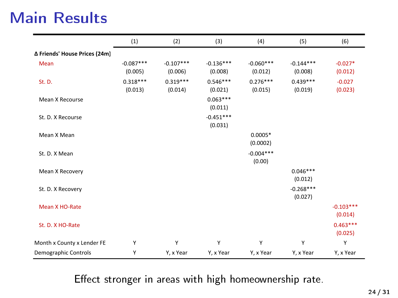|                               | (1)                    | (2)                    | (3)                    | (4)                    | (5)                    | (6)                    |
|-------------------------------|------------------------|------------------------|------------------------|------------------------|------------------------|------------------------|
| ∆ Friends' House Prices (24m) |                        |                        |                        |                        |                        |                        |
| Mean                          | $-0.087***$<br>(0.005) | $-0.107***$<br>(0.006) | $-0.136***$<br>(0.008) | $-0.060***$<br>(0.012) | $-0.144***$<br>(0.008) | $-0.027*$<br>(0.012)   |
| St. D.                        | $0.318***$<br>(0.013)  | $0.319***$<br>(0.014)  | $0.546***$<br>(0.021)  | $0.276***$<br>(0.015)  | $0.439***$<br>(0.019)  | $-0.027$<br>(0.023)    |
| Mean X Recourse               |                        |                        | $0.063***$<br>(0.011)  |                        |                        |                        |
| St. D. X Recourse             |                        |                        | $-0.451***$<br>(0.031) |                        |                        |                        |
| Mean X Mean                   |                        |                        |                        | $0.0005*$<br>(0.0002)  |                        |                        |
| St. D. X Mean                 |                        |                        |                        | $-0.004***$<br>(0.00)  |                        |                        |
| Mean X Recovery               |                        |                        |                        |                        | $0.046***$<br>(0.012)  |                        |
| St. D. X Recovery             |                        |                        |                        |                        | $-0.268***$<br>(0.027) |                        |
| Mean X HO-Rate                |                        |                        |                        |                        |                        | $-0.103***$<br>(0.014) |
| St. D. X HO-Rate              |                        |                        |                        |                        |                        | $0.463***$<br>(0.025)  |
| Month x County x Lender FE    | Y                      | Υ                      | Υ                      | Υ                      | Υ                      | Υ                      |
| Demographic Controls          | Υ                      | Y, x Year              | Y, x Year              | Y, x Year              | Y, x Year              | Y, x Year              |

R-Squared 0.269 0.269 0.269 0.269 0.269 0.269 0.269 0.269 0.269 0.269 0.270 0.270 0.269 0.269 0.269 0.270 0.270 Effect stronger in areas with high homeownership rate.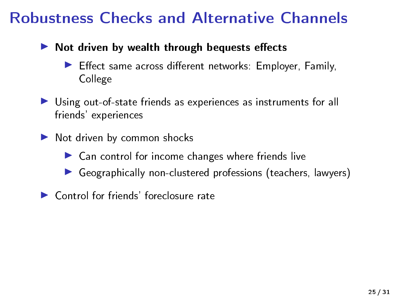### Robustness Checks and Alternative Channels

#### $\blacktriangleright$  Not driven by wealth through bequests effects

- Effect same across different networks: Employer, Family, College
- I Using out-of-state friends as experiences as instruments for all friends' experiences
- $\blacktriangleright$  Not driven by common shocks
	- $\blacktriangleright$  Can control for income changes where friends live
	- $\triangleright$  Geographically non-clustered professions (teachers, lawyers)
- $\blacktriangleright$  Control for friends' foreclosure rate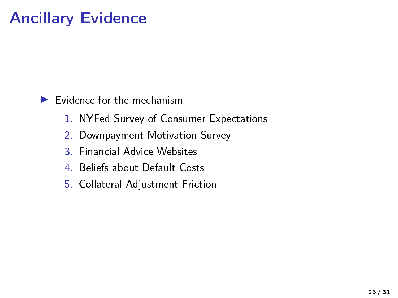# Ancillary Evidence

#### $\blacktriangleright$  Evidence for the mechanism

- 1. NYFed Survey of Consumer Expectations
- 2. Downpayment Motivation Survey
- 3. Financial Advice Websites
- 4. Beliefs about Default Costs
- 5. Collateral Adjustment Friction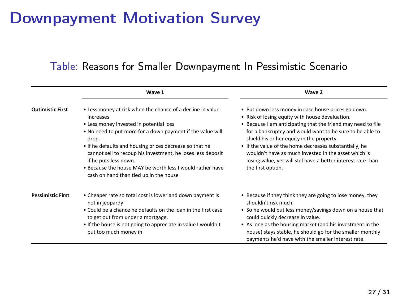# Downpayment Motivation Survey

#### Table: Reasons for Smaller Downpayment In Pessimistic Scenario

|                          | Wave 1                                                                                                                                                                                                                                                                                                                                                                                                                                              | Wave 2                                                                                                                                                                                                                                                                                                                                                                                                                                                                                  |
|--------------------------|-----------------------------------------------------------------------------------------------------------------------------------------------------------------------------------------------------------------------------------------------------------------------------------------------------------------------------------------------------------------------------------------------------------------------------------------------------|-----------------------------------------------------------------------------------------------------------------------------------------------------------------------------------------------------------------------------------------------------------------------------------------------------------------------------------------------------------------------------------------------------------------------------------------------------------------------------------------|
| <b>Optimistic First</b>  | . Less money at risk when the chance of a decline in value<br>increases<br>. Less money invested in potential loss<br>. No need to put more for a down payment if the value will<br>drop.<br>. If he defaults and housing prices decrease so that he<br>cannot sell to recoup his investment, he loses less deposit<br>if he puts less down.<br>. Because the house MAY be worth less I would rather have<br>cash on hand than tied up in the house | . Put down less money in case house prices go down.<br>. Risk of losing equity with house devaluation.<br>. Because I am anticipating that the friend may need to file<br>for a bankruptcy and would want to be sure to be able to<br>shield his or her equity in the property.<br>. If the value of the home decreases substantially, he<br>wouldn't have as much invested in the asset which is<br>losing value, yet will still have a better interest rate than<br>the first option. |
| <b>Pessimistic First</b> | . Cheaper rate so total cost is lower and down payment is<br>not in jeopardy<br>. Could be a chance he defaults on the loan in the first case<br>to get out from under a mortgage.<br>. If the house is not going to appreciate in value I wouldn't<br>put too much money in                                                                                                                                                                        | . Because if they think they are going to lose money, they<br>shouldn't risk much.<br>. So he would put less money/savings down on a house that<br>could quickly decrease in value.<br>• As long as the housing market (and his investment in the<br>house) stays stable, he should go for the smaller monthly<br>payments he'd have with the smaller interest rate.                                                                                                                    |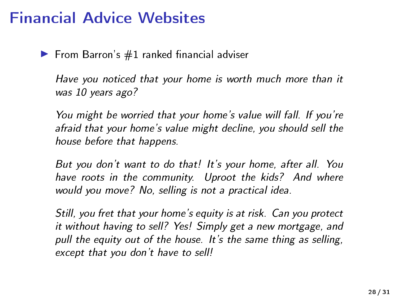### Financial Advice Websites

From Barron's  $#1$  ranked financial adviser

Have you noticed that your home is worth much more than it was 10 years ago?

You might be worried that your home's value will fall. If you're afraid that your home's value might decline, you should sell the house before that happens.

But you don't want to do that! It's your home, after all. You have roots in the community. Uproot the kids? And where would you move? No, selling is not a practical idea.

Still, you fret that your home's equity is at risk. Can you protect it without having to sell? Yes! Simply get a new mortgage, and pull the equity out of the house. It's the same thing as selling, except that you don't have to sell!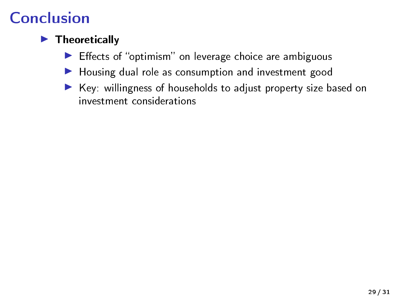### $\blacktriangleright$  Theoretically

- $\blacktriangleright$  Effects of "optimism" on leverage choice are ambiguous
- $\blacktriangleright$  Housing dual role as consumption and investment good
- $\blacktriangleright$  Key: willingness of households to adjust property size based on investment considerations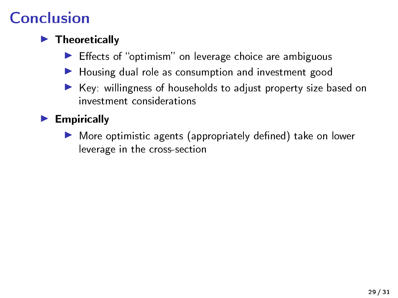### $\blacktriangleright$  Theoretically

- Effects of "optimism" on leverage choice are ambiguous
- $\blacktriangleright$  Housing dual role as consumption and investment good
- $\triangleright$  Key: willingness of households to adjust property size based on investment considerations

### $\blacktriangleright$  Empirically

More optimistic agents (appropriately defined) take on lower leverage in the cross-section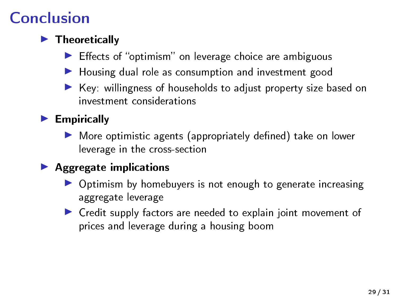### $\blacktriangleright$  Theoretically

- Effects of "optimism" on leverage choice are ambiguous
- $\blacktriangleright$  Housing dual role as consumption and investment good
- $\triangleright$  Key: willingness of households to adjust property size based on investment considerations

### $\blacktriangleright$  Empirically

 $\blacktriangleright$  More optimistic agents (appropriately defined) take on lower leverage in the cross-section

#### $\blacktriangleright$  Aggregate implications

- $\triangleright$  Optimism by homebuyers is not enough to generate increasing aggregate leverage
- ▶ Credit supply factors are needed to explain joint movement of prices and leverage during a housing boom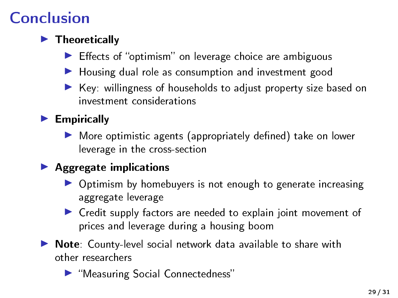### $\blacktriangleright$  Theoretically

- Effects of "optimism" on leverage choice are ambiguous
- $\blacktriangleright$  Housing dual role as consumption and investment good
- $\triangleright$  Key: willingness of households to adjust property size based on investment considerations

### $\blacktriangleright$  Empirically

 $\blacktriangleright$  More optimistic agents (appropriately defined) take on lower leverage in the cross-section

### $\blacktriangleright$  Aggregate implications

- $\triangleright$  Optimism by homebuyers is not enough to generate increasing aggregate leverage
- ▶ Credit supply factors are needed to explain joint movement of prices and leverage during a housing boom
- $\triangleright$  Note: County-level social network data available to share with other researchers
	- ▶ "Measuring Social Connectedness"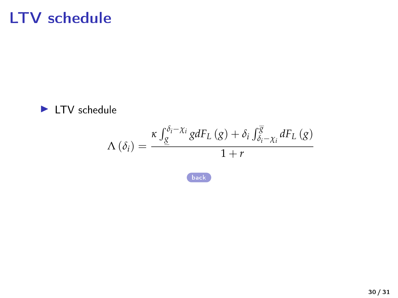# LTV schedule

<span id="page-48-0"></span>

$$
\Lambda\left(\delta_{i}\right) = \frac{\kappa \int_{\underline{g}}^{\delta_{i}-\chi_{i}} g dF_{L}\left(g\right) + \delta_{i} \int_{\delta_{i}-\chi_{i}}^{\overline{g}} dF_{L}\left(g\right)}{1+r}
$$